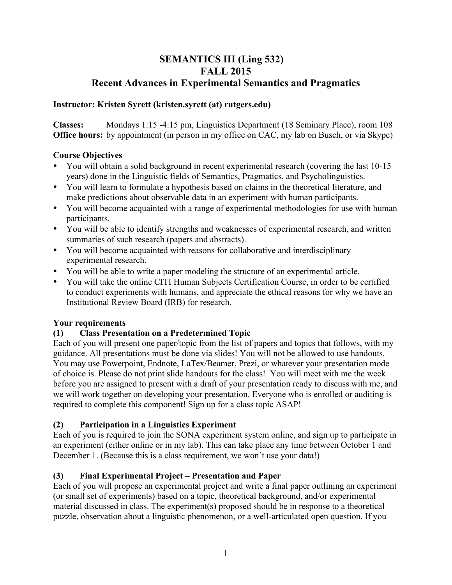# **SEMANTICS III (Ling 532) FALL 2015 Recent Advances in Experimental Semantics and Pragmatics**

### **Instructor: Kristen Syrett (kristen.syrett (at) rutgers.edu)**

**Classes:** Mondays 1:15 -4:15 pm, Linguistics Department (18 Seminary Place), room 108 **Office hours:** by appointment (in person in my office on CAC, my lab on Busch, or via Skype)

## **Course Objectives**

- You will obtain a solid background in recent experimental research (covering the last 10-15 years) done in the Linguistic fields of Semantics, Pragmatics, and Psycholinguistics.
- You will learn to formulate a hypothesis based on claims in the theoretical literature, and make predictions about observable data in an experiment with human participants.
- You will become acquainted with a range of experimental methodologies for use with human participants.
- You will be able to identify strengths and weaknesses of experimental research, and written summaries of such research (papers and abstracts).
- You will become acquainted with reasons for collaborative and interdisciplinary experimental research.
- You will be able to write a paper modeling the structure of an experimental article.
- You will take the online CITI Human Subjects Certification Course, in order to be certified to conduct experiments with humans, and appreciate the ethical reasons for why we have an Institutional Review Board (IRB) for research.

### **Your requirements**

## **(1) Class Presentation on a Predetermined Topic**

Each of you will present one paper/topic from the list of papers and topics that follows, with my guidance. All presentations must be done via slides! You will not be allowed to use handouts. You may use Powerpoint, Endnote, LaTex/Beamer, Prezi, or whatever your presentation mode of choice is. Please do not print slide handouts for the class! You will meet with me the week before you are assigned to present with a draft of your presentation ready to discuss with me, and we will work together on developing your presentation. Everyone who is enrolled or auditing is required to complete this component! Sign up for a class topic ASAP!

## **(2) Participation in a Linguistics Experiment**

Each of you is required to join the SONA experiment system online, and sign up to participate in an experiment (either online or in my lab). This can take place any time between October 1 and December 1. (Because this is a class requirement, we won't use your data!)

## **(3) Final Experimental Project – Presentation and Paper**

Each of you will propose an experimental project and write a final paper outlining an experiment (or small set of experiments) based on a topic, theoretical background, and/or experimental material discussed in class. The experiment(s) proposed should be in response to a theoretical puzzle, observation about a linguistic phenomenon, or a well-articulated open question. If you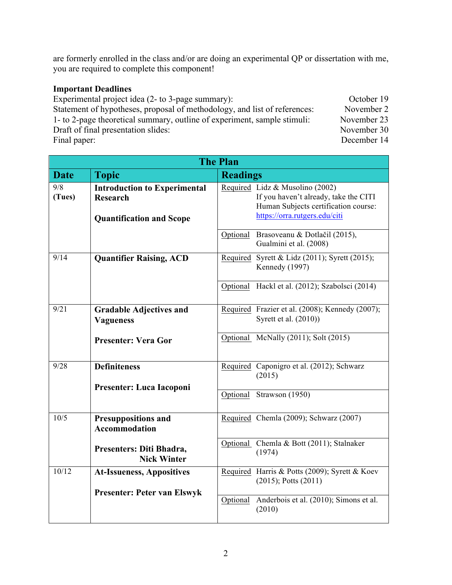are formerly enrolled in the class and/or are doing an experimental QP or dissertation with me, you are required to complete this component!

### **Important Deadlines**

Experimental project idea (2- to 3-page summary): October 19 Statement of hypotheses, proposal of methodology, and list of references: November 2 1- to 2-page theoretical summary, outline of experiment, sample stimuli: November 23 Draft of final presentation slides: November 30 Final paper: December 14

**The Plan Date Topic Readings** 9/8 **(Tues) Introduction to Experimental Research Quantification and Scope**  Required Lidz & Musolino (2002) If you haven't already, take the CITI Human Subjects certification course: https://orra.rutgers.edu/citi Optional Brasoveanu & Dotlačil (2015), Gualmini et al. (2008) 9/14 **Quantifier Raising, ACD** Required Syrett & Lidz (2011); Syrett (2015); Kennedy (1997) Optional Hackl et al. (2012); Szabolsci (2014) 9/21 **Gradable Adjectives and Vagueness Presenter: Vera Gor** Required Frazier et al. (2008); Kennedy (2007); Syrett et al. (2010)) Optional McNally (2011); Solt (2015) 9/28 **Definiteness Presenter: Luca Iacoponi** Required Caponigro et al. (2012); Schwarz (2015) Optional Strawson (1950) 10/5 **Presuppositions and Accommodation Presenters: Diti Bhadra, Nick Winter** Required Chemla (2009); Schwarz (2007) Optional Chemla & Bott (2011); Stalnaker (1974) 10/12 **At-Issueness, Appositives Presenter: Peter van Elswyk** Required Harris & Potts (2009); Syrett & Koev (2015); Potts (2011) Optional Anderbois et al. (2010); Simons et al. (2010)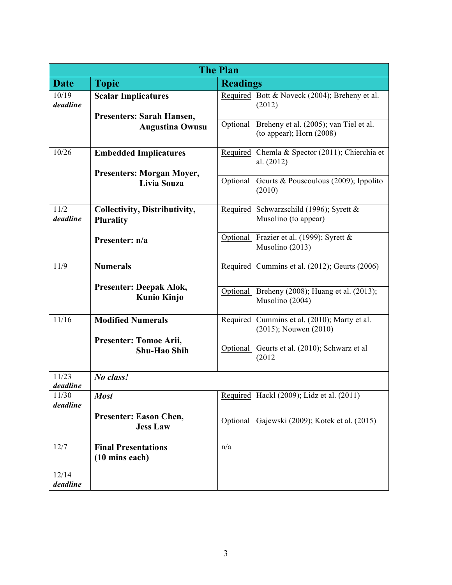| <b>The Plan</b>   |                                                          |                                                                               |  |
|-------------------|----------------------------------------------------------|-------------------------------------------------------------------------------|--|
| <b>Date</b>       | <b>Topic</b>                                             | <b>Readings</b>                                                               |  |
| 10/19<br>deadline | <b>Scalar Implicatures</b><br>Presenters: Sarah Hansen,  | Required Bott & Noveck (2004); Breheny et al.<br>(2012)                       |  |
|                   | <b>Augustina Owusu</b>                                   | Optional Breheny et al. (2005); van Tiel et al.<br>(to appear); Horn $(2008)$ |  |
| 10/26             | <b>Embedded Implicatures</b>                             | Required Chemla & Spector (2011); Chierchia et<br>al. $(2012)$                |  |
|                   | <b>Presenters: Morgan Moyer,</b><br>Livia Souza          | Optional Geurts & Pouscoulous (2009); Ippolito<br>(2010)                      |  |
| 11/2<br>deadline  | <b>Collectivity, Distributivity,</b><br><b>Plurality</b> | Required Schwarzschild (1996); Syrett &<br>Musolino (to appear)               |  |
|                   | Presenter: n/a                                           | Optional Frazier et al. (1999); Syrett &<br>Musolino (2013)                   |  |
| 11/9              | <b>Numerals</b>                                          | Required Cummins et al. (2012); Geurts (2006)                                 |  |
|                   | <b>Presenter: Deepak Alok,</b><br><b>Kunio Kinjo</b>     | Optional Breheny (2008); Huang et al. (2013);<br>Musolino (2004)              |  |
| 11/16             | <b>Modified Numerals</b><br>Presenter: Tomoe Arii,       | Required Cummins et al. (2010); Marty et al.<br>$(2015)$ ; Nouwen $(2010)$    |  |
|                   | <b>Shu-Hao Shih</b>                                      | Optional Geurts et al. (2010); Schwarz et al<br>(2012)                        |  |
| 11/23<br>deadline | No class!                                                |                                                                               |  |
| 11/30<br>deadline | <b>Most</b>                                              | Required Hackl (2009); Lidz et al. (2011)                                     |  |
|                   | <b>Presenter: Eason Chen,</b><br><b>Jess Law</b>         | Optional Gajewski (2009); Kotek et al. (2015)                                 |  |
| 12/7              | <b>Final Presentations</b><br>(10 mins each)             | n/a                                                                           |  |
| 12/14<br>deadline |                                                          |                                                                               |  |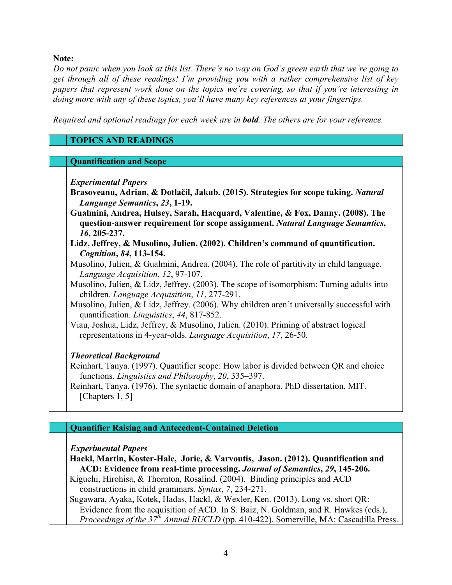**Note:** 

*Do not panic when you look at this list. There's no way on God's green earth that we're going to get through all of these readings! I'm providing you with a rather comprehensive list of key papers that represent work done on the topics we're covering, so that if you're interesting in doing more with any of these topics, you'll have many key references at your fingertips.* 

*Required and optional readings for each week are in bold. The others are for your reference.*

## **TOPICS AND READINGS**

#### **Quantification and Scope**

*Experimental Papers*

- **Brasoveanu, Adrian, & Dotlačil, Jakub. (2015). Strategies for scope taking.** *Natural Language Semantics***,** *23***, 1-19.**
- **Gualmini, Andrea, Hulsey, Sarah, Hacquard, Valentine, & Fox, Danny. (2008). The question-answer requirement for scope assignment.** *Natural Language Semantics***,**  *16***, 205-237.**
- **Lidz, Jeffrey, & Musolino, Julien. (2002). Children's command of quantification.**  *Cognition***,** *84***, 113-154.**
- Musolino, Julien, & Gualmini, Andrea. (2004). The role of partitivity in child language. *Language Acquisition*, *12*, 97-107.
- Musolino, Julien, & Lidz, Jeffrey. (2003). The scope of isomorphism: Turning adults into children. *Language Acquisition*, *11*, 277-291.
- Musolino, Julien, & Lidz, Jeffrey. (2006). Why children aren't universally successful with quantification. *Linguistics*, *44*, 817-852.
- Viau, Joshua, Lidz, Jeffrey, & Musolino, Julien. (2010). Priming of abstract logical representations in 4-year-olds. *Language Acquisition*, *17*, 26-50.

### *Theoretical Background*

Reinhart, Tanya. (1997). Quantifier scope: How labor is divided between QR and choice functions. *Linguistics and Philosophy*, *20*, 335–397.

Reinhart, Tanya. (1976). The syntactic domain of anaphora. PhD dissertation, MIT. [Chapters 1, 5]

### **Quantifier Raising and Antecedent-Contained Deletion**

#### *Experimental Papers*

**Hackl, Martin, Koster-Hale, Jorie, & Varvoutis, Jason. (2012). Quantification and ACD: Evidence from real-time processing.** *Journal of Semantics***,** *29***, 145-206.**

Kiguchi, Hirohisa, & Thornton, Rosalind. (2004). Binding principles and ACD constructions in child grammars. *Syntax*, *7*, 234-271.

Sugawara, Ayaka, Kotek, Hadas, Hackl, & Wexler, Ken. (2013). Long vs. short QR: Evidence from the acquisition of ACD. In S. Baiz, N. Goldman, and R. Hawkes (eds.), *Proceedings of the 37th Annual BUCLD* (pp. 410-422). Somerville, MA: Cascadilla Press.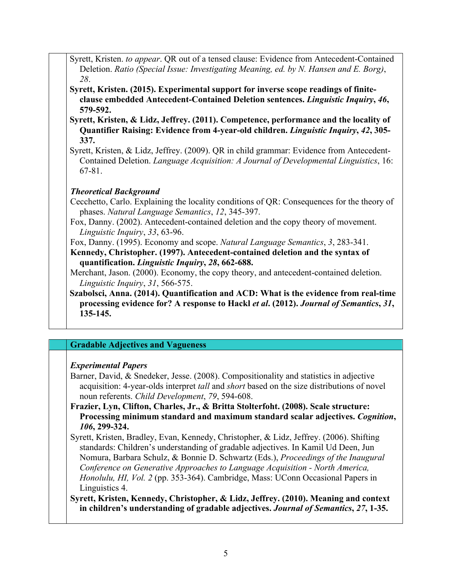- Syrett, Kristen. *to appear*. QR out of a tensed clause: Evidence from Antecedent-Contained Deletion. *Ratio (Special Issue: Investigating Meaning, ed. by N. Hansen and E. Borg)*, *28*.
- **Syrett, Kristen. (2015). Experimental support for inverse scope readings of finiteclause embedded Antecedent-Contained Deletion sentences.** *Linguistic Inquiry***,** *46***, 579-592.**
- **Syrett, Kristen, & Lidz, Jeffrey. (2011). Competence, performance and the locality of Quantifier Raising: Evidence from 4-year-old children.** *Linguistic Inquiry***,** *42***, 305- 337.**
- Syrett, Kristen, & Lidz, Jeffrey. (2009). QR in child grammar: Evidence from Antecedent-Contained Deletion. *Language Acquisition: A Journal of Developmental Linguistics*, 16: 67-81.

## *Theoretical Background*

Cecchetto, Carlo. Explaining the locality conditions of QR: Consequences for the theory of phases. *Natural Language Semantics*, *12*, 345-397.

- Fox, Danny. (2002). Antecedent-contained deletion and the copy theory of movement. *Linguistic Inquiry*, *33*, 63-96.
- Fox, Danny. (1995). Economy and scope. *Natural Language Semantics*, *3*, 283-341. **Kennedy, Christopher. (1997). Antecedent-contained deletion and the syntax of quantification.** *Linguistic Inquiry***,** *28***, 662-688.**

Merchant, Jason. (2000). Economy, the copy theory, and antecedent-contained deletion. *Linguistic Inquiry*, *31*, 566-575.

**Szabolsci, Anna. (2014). Quantification and ACD: What is the evidence from real-time processing evidence for? A response to Hackl** *et al***. (2012).** *Journal of Semantics***,** *31***, 135-145.**

## **Gradable Adjectives and Vagueness**

## *Experimental Papers*

- Barner, David, & Snedeker, Jesse. (2008). Compositionality and statistics in adjective acquisition: 4-year-olds interpret *tall* and *short* based on the size distributions of novel noun referents. *Child Development*, *79*, 594-608.
- **Frazier, Lyn, Clifton, Charles, Jr., & Britta Stolterfoht. (2008). Scale structure: Processing minimum standard and maximum standard scalar adjectives.** *Cognition***,**  *106***, 299-324.**
- Syrett, Kristen, Bradley, Evan, Kennedy, Christopher, & Lidz, Jeffrey. (2006). Shifting standards: Children's understanding of gradable adjectives. In Kamil Ud Deen, Jun Nomura, Barbara Schulz, & Bonnie D. Schwartz (Eds.), *Proceedings of the Inaugural Conference on Generative Approaches to Language Acquisition - North America, Honolulu, HI, Vol. 2* (pp. 353-364). Cambridge, Mass: UConn Occasional Papers in Linguistics 4.
- **Syrett, Kristen, Kennedy, Christopher, & Lidz, Jeffrey. (2010). Meaning and context in children's understanding of gradable adjectives.** *Journal of Semantics***,** *27***, 1-35.**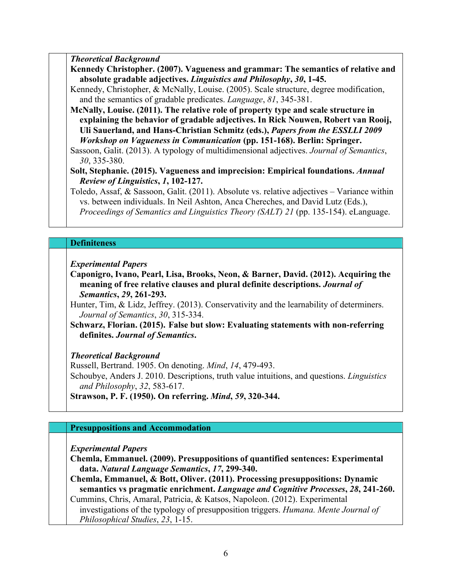*Theoretical Background*

**Kennedy Christopher. (2007). Vagueness and grammar: The semantics of relative and absolute gradable adjectives.** *Linguistics and Philosophy***,** *30***, 1-45.**

Kennedy, Christopher, & McNally, Louise. (2005). Scale structure, degree modification, and the semantics of gradable predicates. *Language*, *81*, 345-381.

**McNally, Louise. (2011). The relative role of property type and scale structure in explaining the behavior of gradable adjectives. In Rick Nouwen, Robert van Rooij, Uli Sauerland, and Hans-Christian Schmitz (eds.),** *Papers from the ESSLLI 2009 Workshop on Vagueness in Communication* **(pp. 151-168). Berlin: Springer.**

Sassoon, Galit. (2013). A typology of multidimensional adjectives. *Journal of Semantics*, *30*, 335-380.

**Solt, Stephanie. (2015). Vagueness and imprecision: Empirical foundations.** *Annual Review of Linguistics***,** *1***, 102-127.**

Toledo, Assaf, & Sassoon, Galit. (2011). Absolute vs. relative adjectives – Variance within vs. between individuals. In Neil Ashton, Anca Chereches, and David Lutz (Eds.), *Proceedings of Semantics and Linguistics Theory (SALT) 21* (pp. 135-154). eLanguage.

### **Definiteness**

*Experimental Papers*

**Caponigro, Ivano, Pearl, Lisa, Brooks, Neon, & Barner, David. (2012). Acquiring the meaning of free relative clauses and plural definite descriptions.** *Journal of Semantics***,** *29***, 261-293.**

Hunter, Tim, & Lidz, Jeffrey. (2013). Conservativity and the learnability of determiners. *Journal of Semantics*, *30*, 315-334.

**Schwarz, Florian. (2015). False but slow: Evaluating statements with non-referring definites.** *Journal of Semantics***.**

*Theoretical Background*

Russell, Bertrand. 1905. On denoting. *Mind*, *14*, 479-493.

Schoubye, Anders J. 2010. Descriptions, truth value intuitions, and questions. *Linguistics and Philosophy*, *32*, 583-617.

**Strawson, P. F. (1950). On referring.** *Mind***,** *59***, 320-344.**

#### **Presuppositions and Accommodation**

*Experimental Papers*

**Chemla, Emmanuel. (2009). Presuppositions of quantified sentences: Experimental data.** *Natural Language Semantics***,** *17***, 299-340.**

**Chemla, Emmanuel, & Bott, Oliver. (2011). Processing presuppositions: Dynamic semantics vs pragmatic enrichment.** *Language and Cognitive Processes***,** *28***, 241-260.**

Cummins, Chris, Amaral, Patricia, & Katsos, Napoleon. (2012). Experimental investigations of the typology of presupposition triggers. *Humana. Mente Journal of Philosophical Studies*, *23*, 1-15.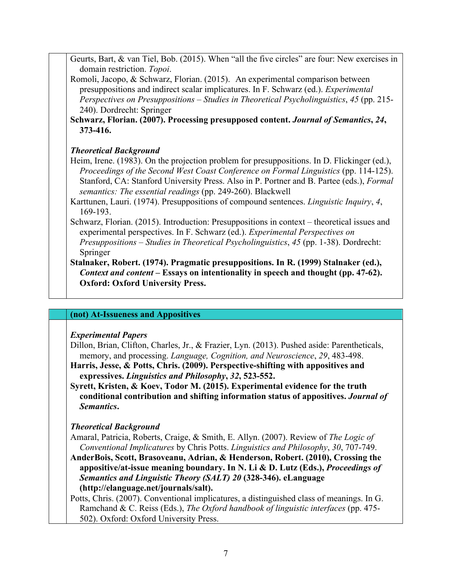Geurts, Bart, & van Tiel, Bob. (2015). When "all the five circles" are four: New exercises in domain restriction. *Topoi*.

- Romoli, Jacopo, & Schwarz, Florian. (2015). An experimental comparison between presuppositions and indirect scalar implicatures. In F. Schwarz (ed.). *Experimental Perspectives on Presuppositions – Studies in Theoretical Psycholinguistics*, *45* (pp. 215- 240). Dordrecht: Springer
- **Schwarz, Florian. (2007). Processing presupposed content.** *Journal of Semantics***,** *24***, 373-416.**

## *Theoretical Background*

- Heim, Irene. (1983). On the projection problem for presuppositions. In D. Flickinger (ed.), *Proceedings of the Second West Coast Conference on Formal Linguistics* (pp. 114-125). Stanford, CA: Stanford University Press. Also in P. Portner and B. Partee (eds.), *Formal semantics: The essential readings* (pp. 249-260). Blackwell
- Karttunen, Lauri. (1974). Presuppositions of compound sentences. *Linguistic Inquiry*, *4*, 169-193.
- Schwarz, Florian. (2015). Introduction: Presuppositions in context theoretical issues and experimental perspectives. In F. Schwarz (ed.). *Experimental Perspectives on Presuppositions – Studies in Theoretical Psycholinguistics*, *45* (pp. 1-38). Dordrecht: Springer

### **Stalnaker, Robert. (1974). Pragmatic presuppositions. In R. (1999) Stalnaker (ed.),**  *Context and content* **– Essays on intentionality in speech and thought (pp. 47-62). Oxford: Oxford University Press.**

## **(not) At-Issueness and Appositives**

### *Experimental Papers*

Dillon, Brian, Clifton, Charles, Jr., & Frazier, Lyn. (2013). Pushed aside: Parentheticals, memory, and processing. *Language, Cognition, and Neuroscience*, *29*, 483-498.

- **Harris, Jesse, & Potts, Chris. (2009). Perspective-shifting with appositives and expressives.** *Linguistics and Philosophy***,** *32***, 523-552.**
- **Syrett, Kristen, & Koev, Todor M. (2015). Experimental evidence for the truth conditional contribution and shifting information status of appositives.** *Journal of Semantics***.**

## *Theoretical Background*

Amaral, Patricia, Roberts, Craige, & Smith, E. Allyn. (2007). Review of *The Logic of Conventional Implicatures* by Chris Potts. *Linguistics and Philosophy*, *30*, 707-749.

**AnderBois, Scott, Brasoveanu, Adrian, & Henderson, Robert. (2010), Crossing the appositive/at-issue meaning boundary. In N. Li & D. Lutz (Eds.),** *Proceedings of Semantics and Linguistic Theory (SALT) 20* **(328-346). eLanguage (http://elanguage.net/journals/salt).**

Potts, Chris. (2007). Conventional implicatures, a distinguished class of meanings. In G. Ramchand & C. Reiss (Eds.), *The Oxford handbook of linguistic interfaces* (pp. 475- 502). Oxford: Oxford University Press.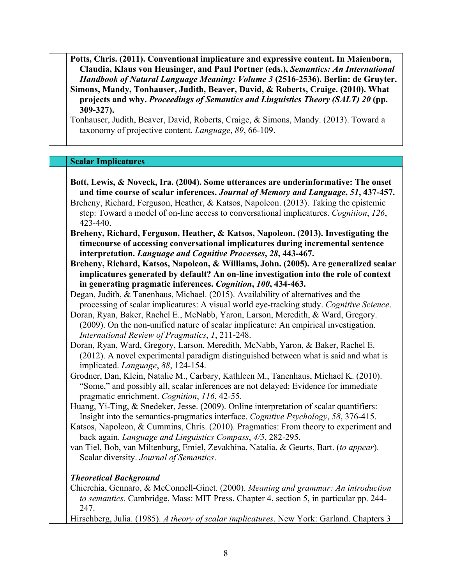**Potts, Chris. (2011). Conventional implicature and expressive content. In Maienborn, Claudia, Klaus von Heusinger, and Paul Portner (eds.),** *Semantics: An International Handbook of Natural Language Meaning: Volume 3* **(2516-2536). Berlin: de Gruyter. Simons, Mandy, Tonhauser, Judith, Beaver, David, & Roberts, Craige. (2010). What projects and why.** *Proceedings of Semantics and Linguistics Theory (SALT) 20* **(pp. 309-327).** 

Tonhauser, Judith, Beaver, David, Roberts, Craige, & Simons, Mandy. (2013). Toward a taxonomy of projective content. *Language*, *89*, 66-109.

### **Scalar Implicatures**

- **Bott, Lewis, & Noveck, Ira. (2004). Some utterances are underinformative: The onset and time course of scalar inferences.** *Journal of Memory and Language***,** *51***, 437-457.** Breheny, Richard, Ferguson, Heather, & Katsos, Napoleon. (2013). Taking the epistemic step: Toward a model of on-line access to conversational implicatures. *Cognition*, *126*, 423-440.
- **Breheny, Richard, Ferguson, Heather, & Katsos, Napoleon. (2013). Investigating the timecourse of accessing conversational implicatures during incremental sentence interpretation.** *Language and Cognitive Processes***,** *28***, 443-467.**
- **Breheny, Richard, Katsos, Napoleon, & Williams, John. (2005). Are generalized scalar implicatures generated by default? An on-line investigation into the role of context in generating pragmatic inferences.** *Cognition***,** *100***, 434-463.**
- Degan, Judith, & Tanenhaus, Michael. (2015). Availability of alternatives and the processing of scalar implicatures: A visual world eye-tracking study. *Cognitive Science*.
- Doran, Ryan, Baker, Rachel E., McNabb, Yaron, Larson, Meredith, & Ward, Gregory. (2009). On the non-unified nature of scalar implicature: An empirical investigation. *International Review of Pragmatics*, *1*, 211-248.
- Doran, Ryan, Ward, Gregory, Larson, Meredith, McNabb, Yaron, & Baker, Rachel E. (2012). A novel experimental paradigm distinguished between what is said and what is implicated. *Language*, *88*, 124-154.
- Grodner, Dan, Klein, Natalie M., Carbary, Kathleen M., Tanenhaus, Michael K. (2010). "Some," and possibly all, scalar inferences are not delayed: Evidence for immediate pragmatic enrichment. *Cognition*, *116*, 42-55.
- Huang, Yi-Ting, & Snedeker, Jesse. (2009). Online interpretation of scalar quantifiers: Insight into the semantics-pragmatics interface. *Cognitive Psychology*, *58*, 376-415.
- Katsos, Napoleon, & Cummins, Chris. (2010). Pragmatics: From theory to experiment and back again. *Language and Linguistics Compass*, *4/5*, 282-295.
- van Tiel, Bob, van Miltenburg, Emiel, Zevakhina, Natalia, & Geurts, Bart. (*to appear*). Scalar diversity. *Journal of Semantics*.

### *Theoretical Background*

- Chierchia, Gennaro, & McConnell-Ginet. (2000). *Meaning and grammar: An introduction to semantics*. Cambridge, Mass: MIT Press. Chapter 4, section 5, in particular pp. 244- 247.
- Hirschberg, Julia. (1985). *A theory of scalar implicatures*. New York: Garland. Chapters 3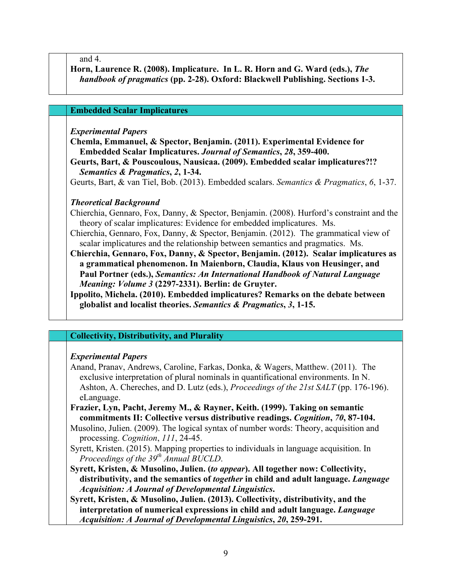and 4.

**Horn, Laurence R. (2008). Implicature. In L. R. Horn and G. Ward (eds.),** *The handbook of pragmatics* **(pp. 2-28). Oxford: Blackwell Publishing. Sections 1-3.**

#### **Embedded Scalar Implicatures**

#### *Experimental Papers*

**Chemla, Emmanuel, & Spector, Benjamin. (2011). Experimental Evidence for Embedded Scalar Implicatures.** *Journal of Semantics***,** *28***, 359-400.**

**Geurts, Bart, & Pouscoulous, Nausicaa. (2009). Embedded scalar implicatures?!?**  *Semantics & Pragmatics***,** *2***, 1-34.**

Geurts, Bart, & van Tiel, Bob. (2013). Embedded scalars. *Semantics & Pragmatics*, *6*, 1-37.

#### *Theoretical Background*

Chierchia, Gennaro, Fox, Danny, & Spector, Benjamin. (2008). Hurford's constraint and the theory of scalar implicatures: Evidence for embedded implicatures. Ms.

- Chierchia, Gennaro, Fox, Danny, & Spector, Benjamin. (2012). The grammatical view of scalar implicatures and the relationship between semantics and pragmatics. Ms.
- **Chierchia, Gennaro, Fox, Danny, & Spector, Benjamin. (2012). Scalar implicatures as a grammatical phenomenon. In Maienborn, Claudia, Klaus von Heusinger, and Paul Portner (eds.),** *Semantics: An International Handbook of Natural Language Meaning: Volume 3* **(2297-2331). Berlin: de Gruyter.**

**Ippolito, Michela. (2010). Embedded implicatures? Remarks on the debate between globalist and localist theories.** *Semantics & Pragmatics***,** *3***, 1-15.**

#### **Collectivity, Distributivity, and Plurality**

#### *Experimental Papers*

- Anand, Pranav, Andrews, Caroline, Farkas, Donka, & Wagers, Matthew. (2011). The exclusive interpretation of plural nominals in quantificational environments. In N. Ashton, A. Chereches, and D. Lutz (eds.), *Proceedings of the 21st SALT* (pp. 176-196). eLanguage.
- **Frazier, Lyn, Pacht, Jeremy M., & Rayner, Keith. (1999). Taking on semantic commitments II: Collective versus distributive readings.** *Cognition***,** *70***, 87-104.**

Musolino, Julien. (2009). The logical syntax of number words: Theory, acquisition and processing. *Cognition*, *111*, 24-45.

- Syrett, Kristen. (2015). Mapping properties to individuals in language acquisition. In *Proceedings of the 39th Annual BUCLD*.
- **Syrett, Kristen, & Musolino, Julien. (***to appear***). All together now: Collectivity, distributivity, and the semantics of** *together* **in child and adult language.** *Language Acquisition: A Journal of Developmental Linguistics***.**

**Syrett, Kristen, & Musolino, Julien. (2013). Collectivity, distributivity, and the interpretation of numerical expressions in child and adult language.** *Language Acquisition: A Journal of Developmental Linguistics***,** *20***, 259-291.**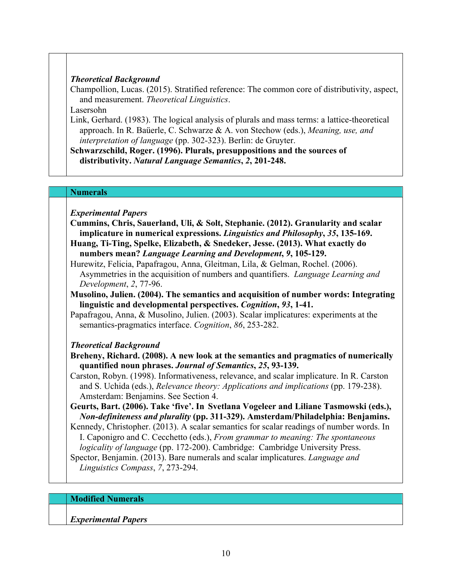### *Theoretical Background*

Champollion, Lucas. (2015). Stratified reference: The common core of distributivity, aspect, and measurement. *Theoretical Linguistics*.

Lasersohn

Link, Gerhard. (1983). The logical analysis of plurals and mass terms: a lattice-theoretical approach. In R. Baüerle, C. Schwarze & A. von Stechow (eds.), *Meaning, use, and interpretation of language* (pp. 302-323). Berlin: de Gruyter.

**Schwarzschild, Roger. (1996). Plurals, presuppositions and the sources of distributivity.** *Natural Language Semantics***,** *2***, 201-248.**

#### **Numerals**

*Experimental Papers*

- **Cummins, Chris, Sauerland, Uli, & Solt, Stephanie. (2012). Granularity and scalar implicature in numerical expressions.** *Linguistics and Philosophy***,** *35***, 135-169.**
- **Huang, Ti-Ting, Spelke, Elizabeth, & Snedeker, Jesse. (2013). What exactly do numbers mean?** *Language Learning and Development***,** *9***, 105-129.**
- Hurewitz, Felicia, Papafragou, Anna, Gleitman, Lila, & Gelman, Rochel. (2006). Asymmetries in the acquisition of numbers and quantifiers. *Language Learning and Development*, *2*, 77-96.
- **Musolino, Julien. (2004). The semantics and acquisition of number words: Integrating linguistic and developmental perspectives.** *Cognition***,** *93***, 1-41.**
- Papafragou, Anna, & Musolino, Julien. (2003). Scalar implicatures: experiments at the semantics-pragmatics interface. *Cognition*, *86*, 253-282.

## *Theoretical Background*

- **Breheny, Richard. (2008). A new look at the semantics and pragmatics of numerically quantified noun phrases.** *Journal of Semantics***,** *25***, 93-139.**
- Carston, Robyn. (1998). Informativeness, relevance, and scalar implicature. In R. Carston and S. Uchida (eds.), *Relevance theory: Applications and implications* (pp. 179-238). Amsterdam: Benjamins. See Section 4.
- **Geurts, Bart. (2006). Take 'five'. In Svetlana Vogeleer and Liliane Tasmowski (eds.),**  *Non-definiteness and plurality* **(pp. 311-329). Amsterdam/Philadelphia: Benjamins.**
- Kennedy, Christopher. (2013). A scalar semantics for scalar readings of number words. In I. Caponigro and C. Cecchetto (eds.), *From grammar to meaning: The spontaneous logicality of language* (pp. 172-200). Cambridge: Cambridge University Press.

Spector, Benjamin. (2013). Bare numerals and scalar implicatures. *Language and Linguistics Compass*, *7*, 273-294.

### **Modified Numerals**

*Experimental Papers*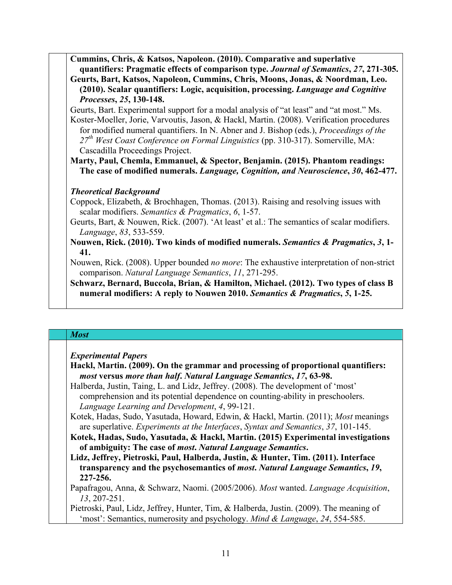**Cummins, Chris, & Katsos, Napoleon. (2010). Comparative and superlative quantifiers: Pragmatic effects of comparison type.** *Journal of Semantics***,** *27***, 271-305. Geurts, Bart, Katsos, Napoleon, Cummins, Chris, Moons, Jonas, & Noordman, Leo.** 

**(2010). Scalar quantifiers: Logic, acquisition, processing.** *Language and Cognitive Processes***,** *25***, 130-148.**

Geurts, Bart. Experimental support for a modal analysis of "at least" and "at most." Ms. Koster-Moeller, Jorie, Varvoutis, Jason, & Hackl, Martin. (2008). Verification procedures for modified numeral quantifiers. In N. Abner and J. Bishop (eds.), *Proceedings of the 27th West Coast Conference on Formal Linguistics* (pp. 310-317). Somerville, MA: Cascadilla Proceedings Project.

**Marty, Paul, Chemla, Emmanuel, & Spector, Benjamin. (2015). Phantom readings: The case of modified numerals.** *Language, Cognition, and Neuroscience***,** *30***, 462-477.**

## *Theoretical Background*

Coppock, Elizabeth, & Brochhagen, Thomas. (2013). Raising and resolving issues with scalar modifiers. *Semantics & Pragmatics*, *6*, 1-57.

- Geurts, Bart, & Nouwen, Rick. (2007). 'At least' et al.: The semantics of scalar modifiers. *Language*, *83*, 533-559.
- **Nouwen, Rick. (2010). Two kinds of modified numerals.** *Semantics & Pragmatics***,** *3***, 1- 41.**

Nouwen, Rick. (2008). Upper bounded *no more*: The exhaustive interpretation of non-strict comparison. *Natural Language Semantics*, *11*, 271-295.

**Schwarz, Bernard, Buccola, Brian, & Hamilton, Michael. (2012). Two types of class B numeral modifiers: A reply to Nouwen 2010.** *Semantics & Pragmatics***,** *5***, 1-25.**

### *Most*

*Experimental Papers*

**Hackl, Martin. (2009). On the grammar and processing of proportional quantifiers:**  *most* **versus** *more than half***.** *Natural Language Semantics***,** *17***, 63-98.**

Halberda, Justin, Taing, L. and Lidz, Jeffrey. (2008). The development of 'most' comprehension and its potential dependence on counting-ability in preschoolers. *Language Learning and Development*, *4*, 99-121.

- Kotek, Hadas, Sudo, Yasutada, Howard, Edwin, & Hackl, Martin. (2011); *Most* meanings are superlative. *Experiments at the Interfaces*, *Syntax and Semantics*, *37*, 101-145.
- **Kotek, Hadas, Sudo, Yasutada, & Hackl, Martin. (2015) Experimental investigations of ambiguity: The case of** *most***.** *Natural Language Semantics***.**
- **Lidz, Jeffrey, Pietroski, Paul, Halberda, Justin, & Hunter, Tim. (2011). Interface transparency and the psychosemantics of** *most***.** *Natural Language Semantics***,** *19***, 227-256.**

Papafragou, Anna, & Schwarz, Naomi. (2005/2006). *Most* wanted. *Language Acquisition*, *13*, 207-251.

Pietroski, Paul, Lidz, Jeffrey, Hunter, Tim, & Halberda, Justin. (2009). The meaning of 'most': Semantics, numerosity and psychology. *Mind & Language*, *24*, 554-585.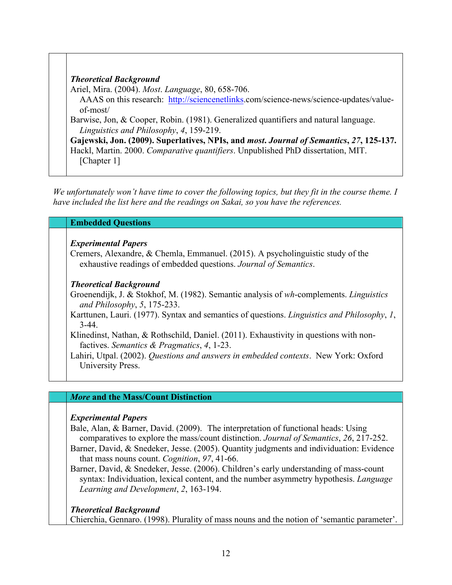| <b>Theoretical Background</b>                                                           |
|-----------------------------------------------------------------------------------------|
| Ariel, Mira. (2004). Most. Language, 80, 658-706.                                       |
| AAAS on this research: http://sciencenetlinks.com/science-news/science-updates/value-   |
| $of-most/$                                                                              |
| Barwise, Jon, & Cooper, Robin. (1981). Generalized quantifiers and natural language.    |
| Linguistics and Philosophy, 4, 159-219.                                                 |
| Gajewski, Jon. (2009). Superlatives, NPIs, and most. Journal of Semantics, 27, 125-137. |
| Hackl, Martin. 2000. Comparative quantifiers. Unpublished PhD dissertation, MIT.        |
| [Chapter 1]                                                                             |

*We unfortunately won't have time to cover the following topics, but they fit in the course theme. I have included the list here and the readings on Sakai, so you have the references.* 

#### **Embedded Questions**

#### *Experimental Papers*

Cremers, Alexandre, & Chemla, Emmanuel. (2015). A psycholinguistic study of the exhaustive readings of embedded questions. *Journal of Semantics*.

#### *Theoretical Background*

Groenendijk, J. & Stokhof, M. (1982). Semantic analysis of *wh*-complements. *Linguistics and Philosophy*, *5*, 175-233.

Karttunen, Lauri. (1977). Syntax and semantics of questions. *Linguistics and Philosophy*, *1*, 3-44.

Klinedinst, Nathan, & Rothschild, Daniel. (2011). Exhaustivity in questions with nonfactives. *Semantics & Pragmatics*, *4*, 1-23.

Lahiri, Utpal. (2002). *Questions and answers in embedded contexts*. New York: Oxford University Press.

#### *More* **and the Mass/Count Distinction**

#### *Experimental Papers*

Bale, Alan, & Barner, David. (2009). The interpretation of functional heads: Using comparatives to explore the mass/count distinction. *Journal of Semantics*, *26*, 217-252. Barner, David, & Snedeker, Jesse. (2005). Quantity judgments and individuation: Evidence

that mass nouns count. *Cognition*, *97*, 41-66.

Barner, David, & Snedeker, Jesse. (2006). Children's early understanding of mass-count syntax: Individuation, lexical content, and the number asymmetry hypothesis. *Language Learning and Development*, *2*, 163-194.

#### *Theoretical Background*

Chierchia, Gennaro. (1998). Plurality of mass nouns and the notion of 'semantic parameter'.